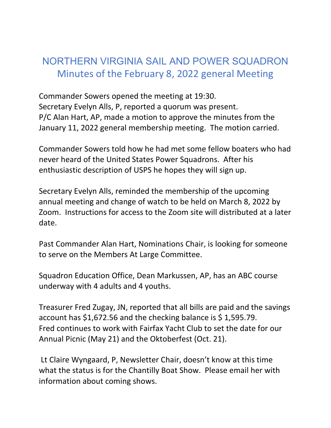## NORTHERN VIRGINIA SAIL AND POWER SQUADRON Minutes of the February 8, 2022 general Meeting

Commander Sowers opened the meeting at 19:30. Secretary Evelyn Alls, P, reported a quorum was present. P/C Alan Hart, AP, made a motion to approve the minutes from the January 11, 2022 general membership meeting. The motion carried.

Commander Sowers told how he had met some fellow boaters who had never heard of the United States Power Squadrons. After his enthusiastic description of USPS he hopes they will sign up.

Secretary Evelyn Alls, reminded the membership of the upcoming annual meeting and change of watch to be held on March 8, 2022 by Zoom. Instructions for access to the Zoom site will distributed at a later date.

Past Commander Alan Hart, Nominations Chair, is looking for someone to serve on the Members At Large Committee.

Squadron Education Office, Dean Markussen, AP, has an ABC course underway with 4 adults and 4 youths.

Treasurer Fred Zugay, JN, reported that all bills are paid and the savings account has \$1,672.56 and the checking balance is \$ 1,595.79. Fred continues to work with Fairfax Yacht Club to set the date for our Annual Picnic (May 21) and the Oktoberfest (Oct. 21).

Lt Claire Wyngaard, P, Newsletter Chair, doesn't know at this time what the status is for the Chantilly Boat Show. Please email her with information about coming shows.